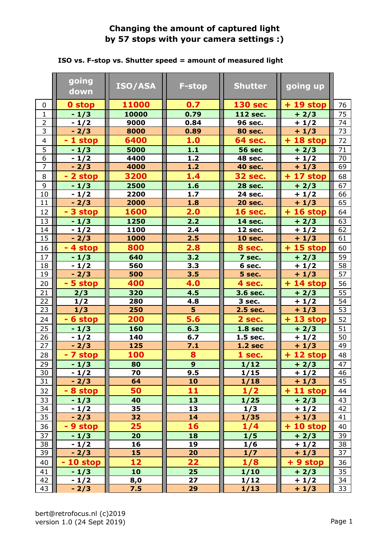## **Changing the amount of captured light by 57 stops with your camera settings :)**

|                 | going<br>down | <b>ISO/ASA</b>           | <b>F-stop</b>  | <b>Shutter</b> | going up   |                 |
|-----------------|---------------|--------------------------|----------------|----------------|------------|-----------------|
| $\mathbf 0$     | 0 stop        | 11000                    | 0.7            | <b>130 sec</b> | $+19$ stop | 76              |
| $\mathbf{1}$    | $-1/3$        | 10000                    | 0.79           | 112 sec.       | $+2/3$     | 75              |
| $\overline{2}$  | $-1/2$        | 9000                     | 0.84           | 96 sec.        | $+1/2$     | 74              |
| 3               | $-2/3$        | 8000                     | 0.89           | <b>80 sec.</b> | $+1/3$     | 73              |
| $\overline{4}$  | - 1 stop      | 6400                     | 1.0            | <b>64 sec.</b> | $+18$ stop | 72              |
| $\overline{5}$  | $-1/3$        | 5000                     | $1.1$          | <b>56 sec</b>  | $+2/3$     | 71              |
| $\overline{6}$  | $-1/2$        | 4400                     | 1.2            | 48 sec.        | $+1/2$     | 70              |
| $\overline{7}$  | $-2/3$        | 4000                     | $1.2$          | <b>40 sec.</b> | $+1/3$     | 69              |
| 8               | - 2 stop      | 3200                     | 1.4            | <b>32 sec.</b> | $+17$ stop | 68              |
| 9               | $-1/3$        | 2500                     | 1.6            | <b>28 sec.</b> | $+2/3$     | 67              |
| $10\,$          | $-1/2$        | 2200                     | 1.7            | 24 sec.        | $+1/2$     | 66              |
| 11              | $-2/3$        | 2000                     | 1.8            | <b>20 sec.</b> | $+1/3$     | 65              |
| 12              | - 3 stop      | 1600                     | 2.0            | <b>16 sec.</b> | $+16$ stop | 64              |
| 13              | $-1/3$        | 1250                     | 2.2            | 14 sec.        | $+2/3$     | 63              |
| 14              | $-1/2$        | 1100                     | 2.4            | 12 sec.        | $+1/2$     | 62              |
| 15              | $-2/3$        | 1000                     | 2.5            | <b>10 sec.</b> | $+1/3$     | 61              |
| 16              | - 4 stop      | 800                      | 2.8            | 8 sec.         | $+15$ stop | 60              |
| 17              | $-1/3$        | 640                      | 3.2            | 7 sec.         | $+2/3$     | 59              |
| 18              | $-1/2$        | 560                      | 3.3            | 6 sec.         | $+1/2$     | 58              |
| 19              | $-2/3$        | 500                      | 3.5            | 5 sec.         | $+1/3$     | 57              |
| 20              | - 5 stop      | 400                      | 4.0            | 4 sec.         | $+14$ stop | 56              |
| 21              | 2/3           | 320                      | 4.5            | 3.6 sec.       | $+2/3$     | 55              |
| 22              | 1/2           | 280                      | 4.8            | 3 sec.         | $+1/2$     | 54              |
| 23              | 1/3           | 250                      | 5              | 2.5 sec.       | $+1/3$     | 53              |
| 24              | - 6 stop      | 200                      | 5.6            | 2 sec.         | $+13$ stop | 52              |
| 25              | $-1/3$        | 160                      | 6.3            | <b>1.8 sec</b> | $+2/3$     | 51              |
| 26              | $-1/2$        | 140                      | 6.7            | 1.5 sec.       | $+1/2$     | 50              |
| 27              | $-2/3$        | 125                      | 7.1            | <b>1.2 sec</b> | $+1/3$     | 49              |
| 28              | - 7 stop      | 100                      | 8              | 1 sec.         | $+12$ stop | 48              |
| $\overline{29}$ | $-1/3$        | $\overline{\mathbf{80}}$ | $\overline{9}$ | 1/12           | $+2/3$     | $\overline{47}$ |
| 30              | $-1/2$        | 70                       | 9.5            | 1/15           | $+1/2$     | 46              |
| 31              | $-2/3$        | 64                       | 10             | 1/18           | $+1/3$     | 45              |
| 32              | - 8 stop      | 50                       | 11             | 1/2            | $+11$ stop | 44              |
| 33              | $-1/3$        | 40                       | 13             | 1/25           | $+2/3$     | 43              |
| 34              | $-1/2$        | 35                       | 13             | 1/3            | $+1/2$     | 42              |
| 35              | $-2/3$        | 32                       | 14             | 1/35           | $+1/3$     | 41              |
| 36              | - 9 stop      | 25                       | 16             | 1/4            | $+10$ stop | 40              |
| 37              | $-1/3$        | 20                       | 18             | 1/5            | $+2/3$     | 39              |
| 38              | $-1/2$        | 16                       | 19             | 1/6            | $+1/2$     | 38              |
| 39              | $-2/3$        | 15                       | 20             | 1/7            | $+1/3$     | 37              |
| 40              | $-10$ stop    | 12                       | 22             | 1/8            | + 9 stop   | 36              |
| 41              | $-1/3$        | 10                       | 25             | 1/10           | $+2/3$     | 35              |
| 42              | $-1/2$        | 8,0                      | 27             | 1/12           | $+1/2$     | 34              |
| 43              | $-2/3$        | 7.5                      | 29             | 1/13           | $+1/3$     | 33              |

## **ISO vs. F-stop vs. Shutter speed = amount of measured light**